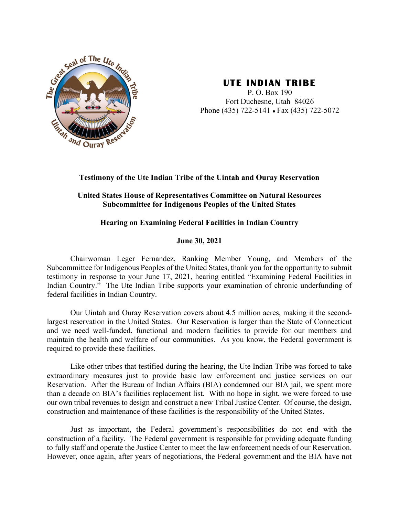

# **UTE INDIAN TRIBE**

[DATE] Fort Duchesne, Utah 84026 P. O. Box 190 Phone (435) 722-5141 ● Fax (435) 722-5072

## **Testimony of the Ute Indian Tribe of the Uintah and Ouray Reservation**

# **United States House of Representatives Committee on Natural Resources Subcommittee for Indigenous Peoples of the United States**

# **Hearing on Examining Federal Facilities in Indian Country**

## **June 30, 2021**

Chairwoman Leger Fernandez, Ranking Member Young, and Members of the Subcommittee for Indigenous Peoples of the United States, thank you for the opportunity to submit testimony in response to your June 17, 2021, hearing entitled "Examining Federal Facilities in Indian Country." The Ute Indian Tribe supports your examination of chronic underfunding of federal facilities in Indian Country.

Our Uintah and Ouray Reservation covers about 4.5 million acres, making it the secondlargest reservation in the United States. Our Reservation is larger than the State of Connecticut and we need well-funded, functional and modern facilities to provide for our members and maintain the health and welfare of our communities. As you know, the Federal government is required to provide these facilities.

Like other tribes that testified during the hearing, the Ute Indian Tribe was forced to take extraordinary measures just to provide basic law enforcement and justice services on our Reservation. After the Bureau of Indian Affairs (BIA) condemned our BIA jail, we spent more than a decade on BIA's facilities replacement list. With no hope in sight, we were forced to use our own tribal revenues to design and construct a new Tribal Justice Center. Of course, the design, construction and maintenance of these facilities is the responsibility of the United States.

Just as important, the Federal government's responsibilities do not end with the construction of a facility. The Federal government is responsible for providing adequate funding to fully staff and operate the Justice Center to meet the law enforcement needs of our Reservation. However, once again, after years of negotiations, the Federal government and the BIA have not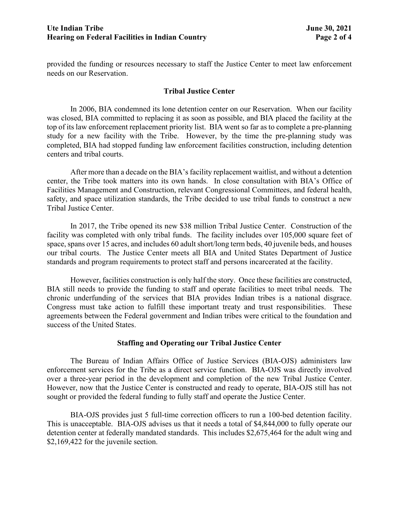provided the funding or resources necessary to staff the Justice Center to meet law enforcement needs on our Reservation.

## **Tribal Justice Center**

In 2006, BIA condemned its lone detention center on our Reservation. When our facility was closed, BIA committed to replacing it as soon as possible, and BIA placed the facility at the top of its law enforcement replacement priority list. BIA went so far as to complete a pre-planning study for a new facility with the Tribe. However, by the time the pre-planning study was completed, BIA had stopped funding law enforcement facilities construction, including detention centers and tribal courts.

After more than a decade on the BIA's facility replacement waitlist, and without a detention center, the Tribe took matters into its own hands. In close consultation with BIA's Office of Facilities Management and Construction, relevant Congressional Committees, and federal health, safety, and space utilization standards, the Tribe decided to use tribal funds to construct a new Tribal Justice Center.

In 2017, the Tribe opened its new \$38 million Tribal Justice Center. Construction of the facility was completed with only tribal funds. The facility includes over 105,000 square feet of space, spans over 15 acres, and includes 60 adult short/long term beds, 40 juvenile beds, and houses our tribal courts. The Justice Center meets all BIA and United States Department of Justice standards and program requirements to protect staff and persons incarcerated at the facility.

However, facilities construction is only half the story. Once these facilities are constructed, BIA still needs to provide the funding to staff and operate facilities to meet tribal needs. The chronic underfunding of the services that BIA provides Indian tribes is a national disgrace. Congress must take action to fulfill these important treaty and trust responsibilities. These agreements between the Federal government and Indian tribes were critical to the foundation and success of the United States.

#### **Staffing and Operating our Tribal Justice Center**

The Bureau of Indian Affairs Office of Justice Services (BIA-OJS) administers law enforcement services for the Tribe as a direct service function. BIA-OJS was directly involved over a three-year period in the development and completion of the new Tribal Justice Center. However, now that the Justice Center is constructed and ready to operate, BIA-OJS still has not sought or provided the federal funding to fully staff and operate the Justice Center.

BIA-OJS provides just 5 full-time correction officers to run a 100-bed detention facility. This is unacceptable. BIA-OJS advises us that it needs a total of \$4,844,000 to fully operate our detention center at federally mandated standards. This includes \$2,675,464 for the adult wing and \$2,169,422 for the juvenile section.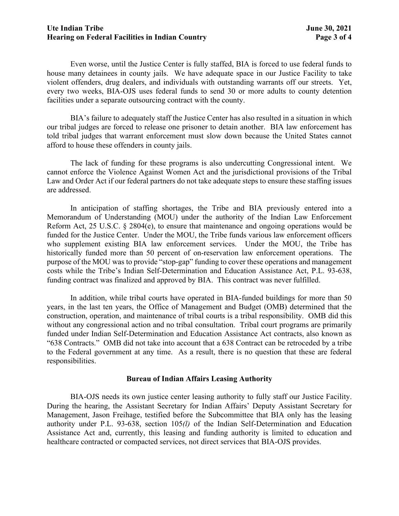#### **Ute Indian Tribe June 30, 2021 Hearing on Federal Facilities in Indian Country Page 3 of 4**

Even worse, until the Justice Center is fully staffed, BIA is forced to use federal funds to house many detainees in county jails. We have adequate space in our Justice Facility to take violent offenders, drug dealers, and individuals with outstanding warrants off our streets. Yet, every two weeks, BIA-OJS uses federal funds to send 30 or more adults to county detention facilities under a separate outsourcing contract with the county.

BIA's failure to adequately staff the Justice Center has also resulted in a situation in which our tribal judges are forced to release one prisoner to detain another. BIA law enforcement has told tribal judges that warrant enforcement must slow down because the United States cannot afford to house these offenders in county jails.

The lack of funding for these programs is also undercutting Congressional intent. We cannot enforce the Violence Against Women Act and the jurisdictional provisions of the Tribal Law and Order Act if our federal partners do not take adequate steps to ensure these staffing issues are addressed.

In anticipation of staffing shortages, the Tribe and BIA previously entered into a Memorandum of Understanding (MOU) under the authority of the Indian Law Enforcement Reform Act, 25 U.S.C. § 2804(e), to ensure that maintenance and ongoing operations would be funded for the Justice Center. Under the MOU, the Tribe funds various law enforcement officers who supplement existing BIA law enforcement services. Under the MOU, the Tribe has historically funded more than 50 percent of on-reservation law enforcement operations. The purpose of the MOU was to provide "stop-gap" funding to cover these operations and management costs while the Tribe's Indian Self-Determination and Education Assistance Act, P.L. 93-638, funding contract was finalized and approved by BIA. This contract was never fulfilled.

In addition, while tribal courts have operated in BIA-funded buildings for more than 50 years, in the last ten years, the Office of Management and Budget (OMB) determined that the construction, operation, and maintenance of tribal courts is a tribal responsibility. OMB did this without any congressional action and no tribal consultation. Tribal court programs are primarily funded under Indian Self-Determination and Education Assistance Act contracts, also known as "638 Contracts." OMB did not take into account that a 638 Contract can be retroceded by a tribe to the Federal government at any time. As a result, there is no question that these are federal responsibilities.

#### **Bureau of Indian Affairs Leasing Authority**

BIA-OJS needs its own justice center leasing authority to fully staff our Justice Facility. During the hearing, the Assistant Secretary for Indian Affairs' Deputy Assistant Secretary for Management, Jason Freihage, testified before the Subcommittee that BIA only has the leasing authority under P.L. 93-638, section 105*(l)* of the Indian Self-Determination and Education Assistance Act and, currently, this leasing and funding authority is limited to education and healthcare contracted or compacted services, not direct services that BIA-OJS provides.